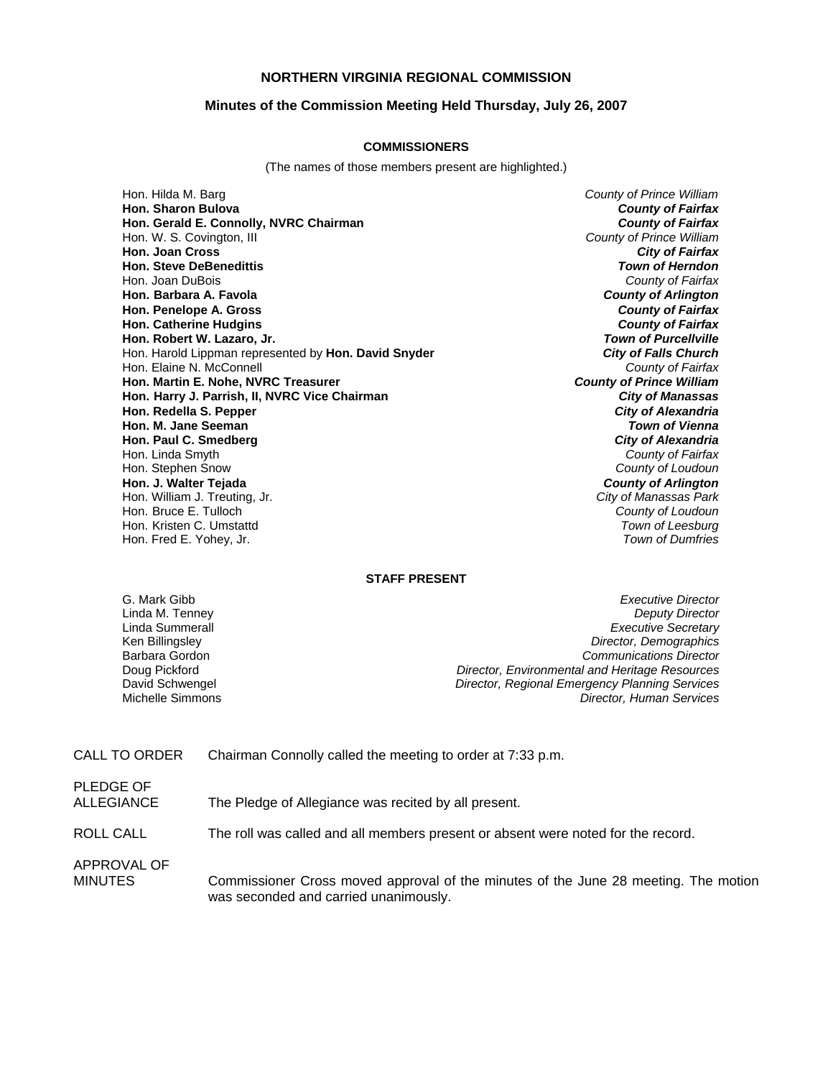## **NORTHERN VIRGINIA REGIONAL COMMISSION**

### **Minutes of the Commission Meeting Held Thursday, July 26, 2007**

#### **COMMISSIONERS**

(The names of those members present are highlighted.)

Hon. Hilda M. Barg *County of Prince William* **Hon. Sharon Bulova** *County of Fairfax* **Hon.** Gerald E. Connolly, NVRC Chairman Hon. W. S. Covington, III *County of Prince William* **Hon. Joan Cross** *City of Fairfax* **Hon. Steve DeBenedittis** *Town of Herndon* Hon. Joan DuBois *County of Fairfax* **Hon. Barbara A. Favola** *County of Arlington* **Hon. Penelope A. Gross** *County of Fairfax* **Hon. Catherine Hudgins** *County of Fairfax* **Hon. Robert W. Lazaro, Jr.** *Town of Purcellville* Hon. Harold Lippman represented by **Hon. David Snyder** *City of Falls Church* Hon. Elaine N. McConnell *County of Fairfax* **Hon. Martin E. Nohe. NVRC Treasurer Hon. Harry J. Parrish, II, NVRC Vice Chairman** *City of Manassas* **Hon. Redella S. Pepper** *City of Alexandria* **Hon. M. Jane Seeman Hon. Paul C. Smedberg** *City of Alexandria* Hon. Linda Smyth *County of Fairfax* Hon. Stephen Snow *County of Loudoun* **Hon. J. Walter Tejada** *County of Arlington* Hon. William J. Treuting, Jr. *City of Manassas Park* Hon. Bruce E. Tulloch *County of Loudoun* Hon. Kristen C. Umstattd *Town of Leesburg* Hon. Fred E. Yohey, Jr.

#### **STAFF PRESENT**

G. Mark Gibb *Executive Director* **Deputy Director** Linda Summerall *Executive Secretary* Ken Billingsley *Director, Demographics* Barbara Gordon *Communications Director* Doug Pickford *Director, Environmental and Heritage Resources* David Schwengel *Director, Regional Emergency Planning Services*  Michelle Simmons *Director, Human Services*

CALL TO ORDER Chairman Connolly called the meeting to order at 7:33 p.m.

PLEDGE OF

ALLEGIANCE The Pledge of Allegiance was recited by all present.

ROLL CALL The roll was called and all members present or absent were noted for the record.

APPROVAL OF

MINUTES Commissioner Cross moved approval of the minutes of the June 28 meeting. The motion was seconded and carried unanimously.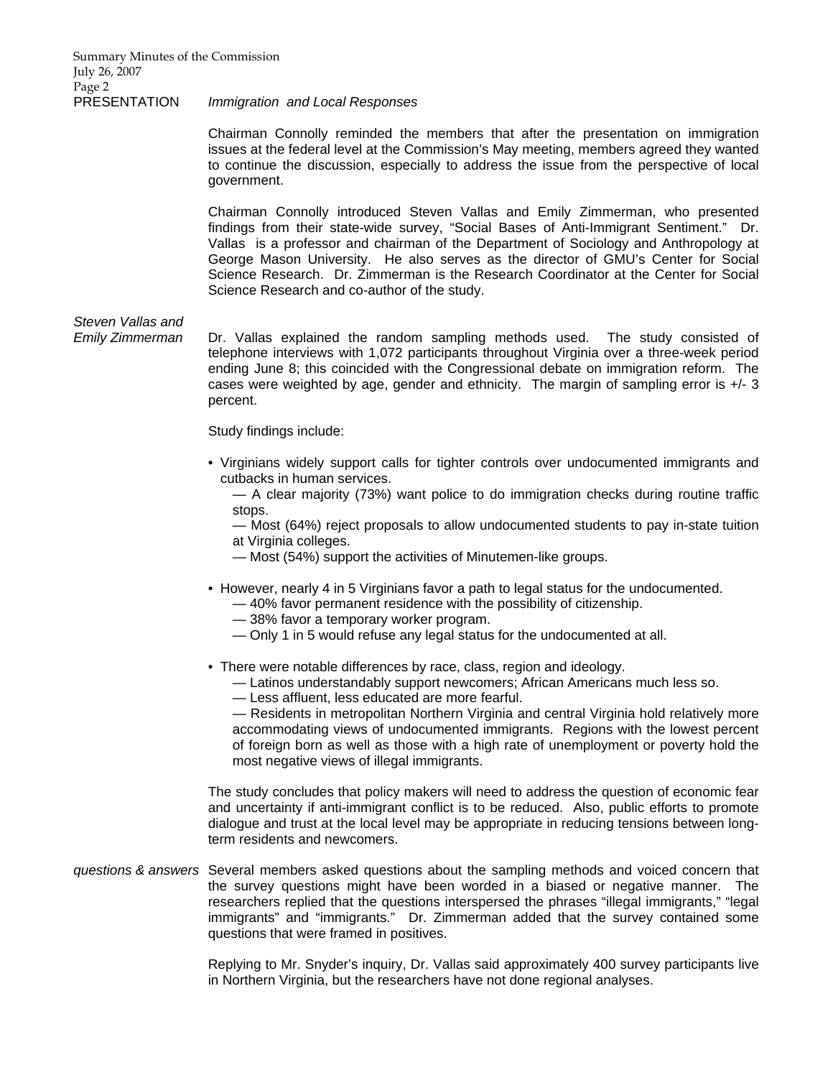## PRESENTATION *Immigration and Local Responses*

 Chairman Connolly reminded the members that after the presentation on immigration issues at the federal level at the Commission's May meeting, members agreed they wanted to continue the discussion, especially to address the issue from the perspective of local government.

 Chairman Connolly introduced Steven Vallas and Emily Zimmerman, who presented findings from their state-wide survey, "Social Bases of Anti-Immigrant Sentiment." Dr. Vallas is a professor and chairman of the Department of Sociology and Anthropology at George Mason University. He also serves as the director of GMU's Center for Social Science Research. Dr. Zimmerman is the Research Coordinator at the Center for Social Science Research and co-author of the study.

# *Steven Vallas and*

*Emily Zimmerman* Dr. Vallas explained the random sampling methods used. The study consisted of telephone interviews with 1,072 participants throughout Virginia over a three-week period ending June 8; this coincided with the Congressional debate on immigration reform. The cases were weighted by age, gender and ethnicity. The margin of sampling error is +/- 3 percent.

Study findings include:

• Virginians widely support calls for tighter controls over undocumented immigrants and cutbacks in human services.

 — A clear majority (73%) want police to do immigration checks during routine traffic stops.

 — Most (64%) reject proposals to allow undocumented students to pay in-state tuition at Virginia colleges.

- Most (54%) support the activities of Minutemen-like groups.
- However, nearly 4 in 5 Virginians favor a path to legal status for the undocumented.
	- 40% favor permanent residence with the possibility of citizenship.
	- 38% favor a temporary worker program.
	- Only 1 in 5 would refuse any legal status for the undocumented at all.
- There were notable differences by race, class, region and ideology.
	- Latinos understandably support newcomers; African Americans much less so.
	- Less affluent, less educated are more fearful.

 — Residents in metropolitan Northern Virginia and central Virginia hold relatively more accommodating views of undocumented immigrants. Regions with the lowest percent of foreign born as well as those with a high rate of unemployment or poverty hold the most negative views of illegal immigrants.

The study concludes that policy makers will need to address the question of economic fear and uncertainty if anti-immigrant conflict is to be reduced. Also, public efforts to promote dialogue and trust at the local level may be appropriate in reducing tensions between longterm residents and newcomers.

*questions & answers* Several members asked questions about the sampling methods and voiced concern that the survey questions might have been worded in a biased or negative manner. The researchers replied that the questions interspersed the phrases "illegal immigrants," "legal immigrants" and "immigrants." Dr. Zimmerman added that the survey contained some questions that were framed in positives.

> Replying to Mr. Snyder's inquiry, Dr. Vallas said approximately 400 survey participants live in Northern Virginia, but the researchers have not done regional analyses.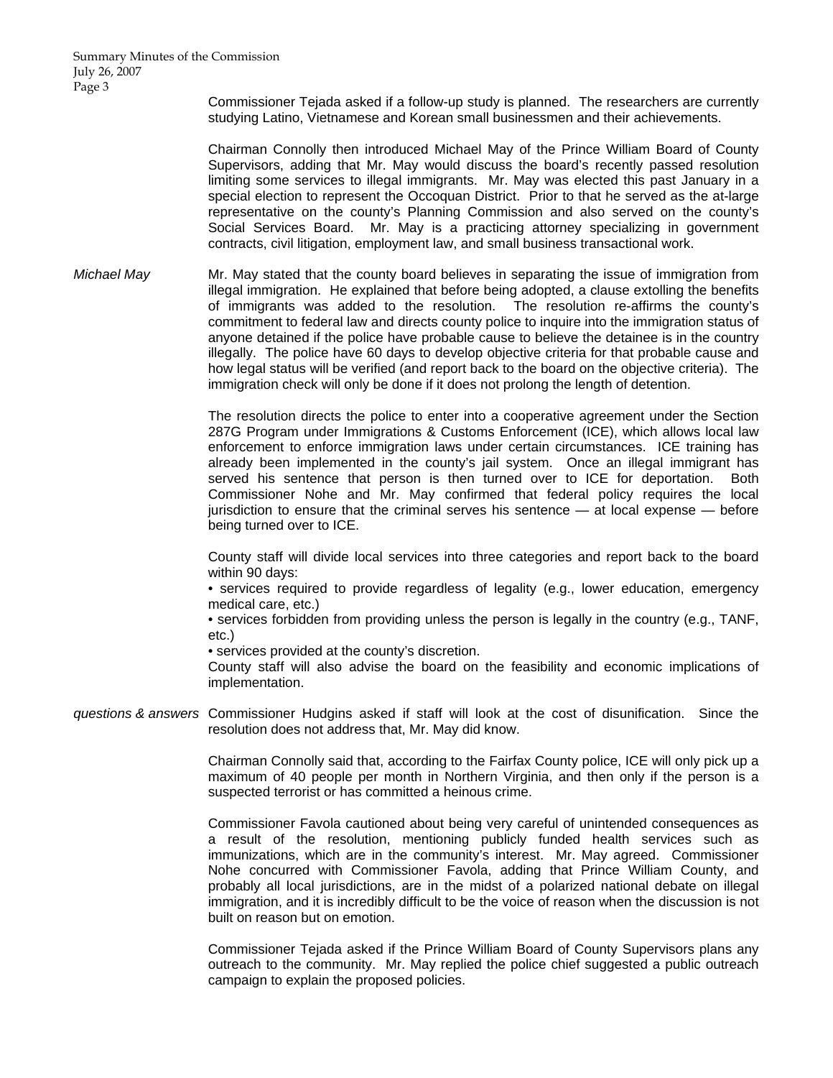Summary Minutes of the Commission July 26, 2007 Page 3

> Commissioner Tejada asked if a follow-up study is planned. The researchers are currently studying Latino, Vietnamese and Korean small businessmen and their achievements.

> Chairman Connolly then introduced Michael May of the Prince William Board of County Supervisors, adding that Mr. May would discuss the board's recently passed resolution limiting some services to illegal immigrants. Mr. May was elected this past January in a special election to represent the Occoquan District. Prior to that he served as the at-large representative on the county's Planning Commission and also served on the county's Social Services Board. Mr. May is a practicing attorney specializing in government contracts, civil litigation, employment law, and small business transactional work.

*Michael May* Mr. May stated that the county board believes in separating the issue of immigration from illegal immigration. He explained that before being adopted, a clause extolling the benefits of immigrants was added to the resolution. The resolution re-affirms the county's commitment to federal law and directs county police to inquire into the immigration status of anyone detained if the police have probable cause to believe the detainee is in the country illegally. The police have 60 days to develop objective criteria for that probable cause and how legal status will be verified (and report back to the board on the objective criteria). The immigration check will only be done if it does not prolong the length of detention.

> The resolution directs the police to enter into a cooperative agreement under the Section 287G Program under Immigrations & Customs Enforcement (ICE), which allows local law enforcement to enforce immigration laws under certain circumstances. ICE training has already been implemented in the county's jail system. Once an illegal immigrant has served his sentence that person is then turned over to ICE for deportation. Both Commissioner Nohe and Mr. May confirmed that federal policy requires the local jurisdiction to ensure that the criminal serves his sentence — at local expense — before being turned over to ICE.

> County staff will divide local services into three categories and report back to the board within 90 days:

> • services required to provide regardless of legality (e.g., lower education, emergency medical care, etc.)

> • services forbidden from providing unless the person is legally in the country (e.g., TANF, etc.)

• services provided at the county's discretion.

County staff will also advise the board on the feasibility and economic implications of implementation.

*questions & answers* Commissioner Hudgins asked if staff will look at the cost of disunification. Since the resolution does not address that, Mr. May did know.

> Chairman Connolly said that, according to the Fairfax County police, ICE will only pick up a maximum of 40 people per month in Northern Virginia, and then only if the person is a suspected terrorist or has committed a heinous crime.

> Commissioner Favola cautioned about being very careful of unintended consequences as a result of the resolution, mentioning publicly funded health services such as immunizations, which are in the community's interest. Mr. May agreed. Commissioner Nohe concurred with Commissioner Favola, adding that Prince William County, and probably all local jurisdictions, are in the midst of a polarized national debate on illegal immigration, and it is incredibly difficult to be the voice of reason when the discussion is not built on reason but on emotion.

> Commissioner Tejada asked if the Prince William Board of County Supervisors plans any outreach to the community. Mr. May replied the police chief suggested a public outreach campaign to explain the proposed policies.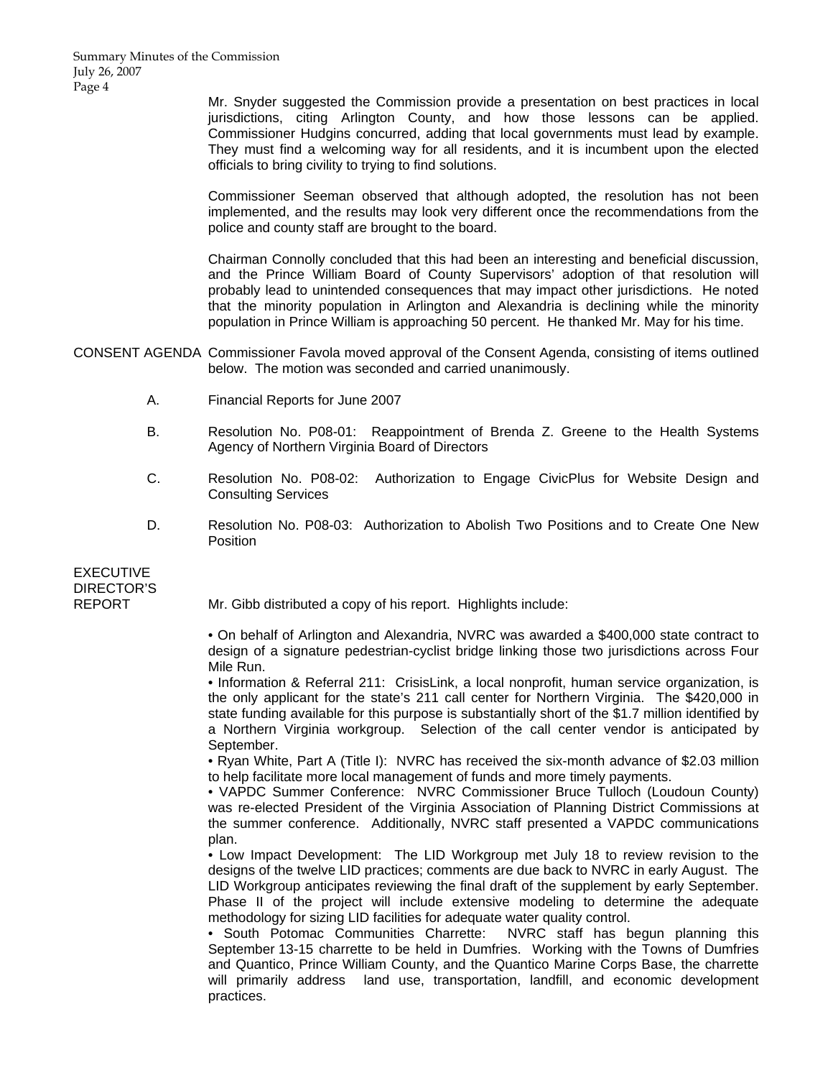Mr. Snyder suggested the Commission provide a presentation on best practices in local jurisdictions, citing Arlington County, and how those lessons can be applied. Commissioner Hudgins concurred, adding that local governments must lead by example. They must find a welcoming way for all residents, and it is incumbent upon the elected officials to bring civility to trying to find solutions.

 Commissioner Seeman observed that although adopted, the resolution has not been implemented, and the results may look very different once the recommendations from the police and county staff are brought to the board.

 Chairman Connolly concluded that this had been an interesting and beneficial discussion, and the Prince William Board of County Supervisors' adoption of that resolution will probably lead to unintended consequences that may impact other jurisdictions. He noted that the minority population in Arlington and Alexandria is declining while the minority population in Prince William is approaching 50 percent. He thanked Mr. May for his time.

CONSENT AGENDA Commissioner Favola moved approval of the Consent Agenda, consisting of items outlined below. The motion was seconded and carried unanimously.

- A. Financial Reports for June 2007
- B. Resolution No. P08-01: Reappointment of Brenda Z. Greene to the Health Systems Agency of Northern Virginia Board of Directors
- C. Resolution No. P08-02: Authorization to Engage CivicPlus for Website Design and Consulting Services
- D. Resolution No. P08-03: Authorization to Abolish Two Positions and to Create One New Position

EXECUTIVE DIRECTOR'S

REPORT Mr. Gibb distributed a copy of his report. Highlights include:

 • On behalf of Arlington and Alexandria, NVRC was awarded a \$400,000 state contract to design of a signature pedestrian-cyclist bridge linking those two jurisdictions across Four Mile Run.

 • Information & Referral 211: CrisisLink, a local nonprofit, human service organization, is the only applicant for the state's 211 call center for Northern Virginia. The \$420,000 in state funding available for this purpose is substantially short of the \$1.7 million identified by a Northern Virginia workgroup. Selection of the call center vendor is anticipated by September.

 • Ryan White, Part A (Title I): NVRC has received the six-month advance of \$2.03 million to help facilitate more local management of funds and more timely payments.

 • VAPDC Summer Conference: NVRC Commissioner Bruce Tulloch (Loudoun County) was re-elected President of the Virginia Association of Planning District Commissions at the summer conference. Additionally, NVRC staff presented a VAPDC communications plan.

 • Low Impact Development: The LID Workgroup met July 18 to review revision to the designs of the twelve LID practices; comments are due back to NVRC in early August. The LID Workgroup anticipates reviewing the final draft of the supplement by early September. Phase II of the project will include extensive modeling to determine the adequate methodology for sizing LID facilities for adequate water quality control.

 • South Potomac Communities Charrette: NVRC staff has begun planning this September 13-15 charrette to be held in Dumfries. Working with the Towns of Dumfries and Quantico, Prince William County, and the Quantico Marine Corps Base, the charrette will primarily address land use, transportation, landfill, and economic development practices.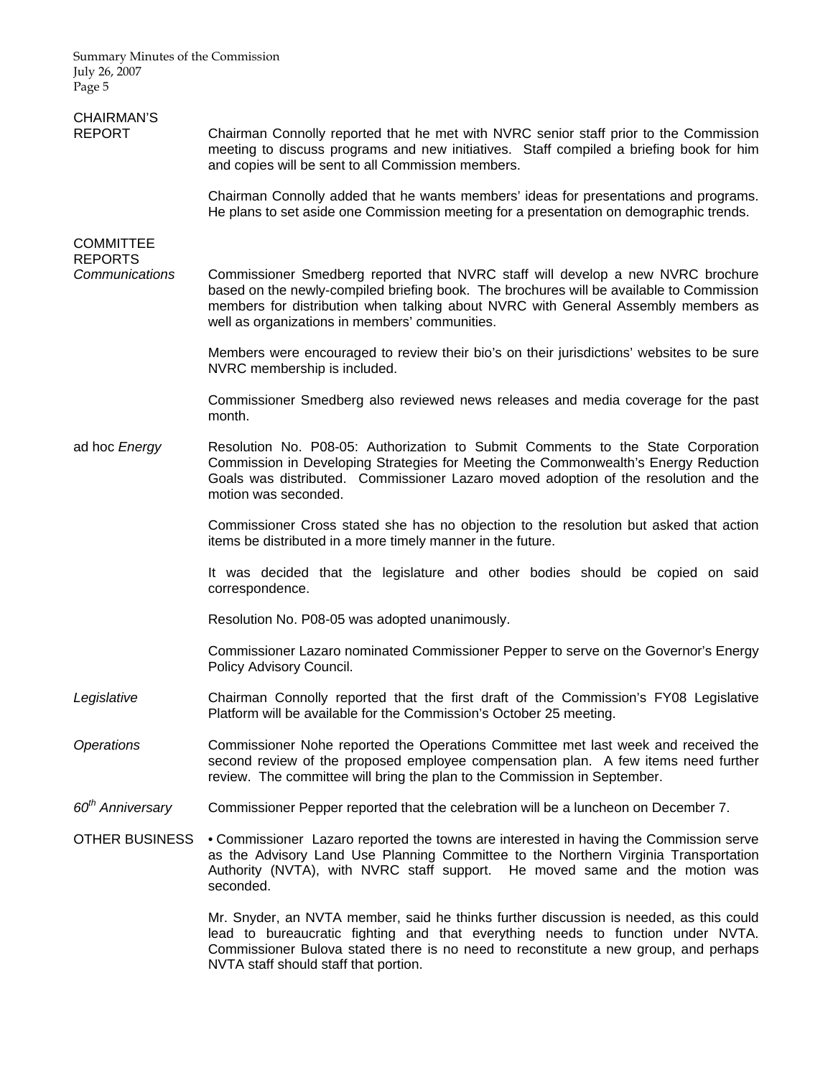Summary Minutes of the Commission July 26, 2007 Page 5

| <b>CHAIRMAN'S</b><br><b>REPORT</b> | Chairman Connolly reported that he met with NVRC senior staff prior to the Commission<br>meeting to discuss programs and new initiatives. Staff compiled a briefing book for him<br>and copies will be sent to all Commission members.                                                                             |
|------------------------------------|--------------------------------------------------------------------------------------------------------------------------------------------------------------------------------------------------------------------------------------------------------------------------------------------------------------------|
|                                    | Chairman Connolly added that he wants members' ideas for presentations and programs.<br>He plans to set aside one Commission meeting for a presentation on demographic trends.                                                                                                                                     |
| <b>COMMITTEE</b><br><b>REPORTS</b> |                                                                                                                                                                                                                                                                                                                    |
| Communications                     | Commissioner Smedberg reported that NVRC staff will develop a new NVRC brochure<br>based on the newly-compiled briefing book. The brochures will be available to Commission<br>members for distribution when talking about NVRC with General Assembly members as<br>well as organizations in members' communities. |
|                                    | Members were encouraged to review their bio's on their jurisdictions' websites to be sure<br>NVRC membership is included.                                                                                                                                                                                          |
|                                    | Commissioner Smedberg also reviewed news releases and media coverage for the past<br>month.                                                                                                                                                                                                                        |
| ad hoc Energy                      | Resolution No. P08-05: Authorization to Submit Comments to the State Corporation<br>Commission in Developing Strategies for Meeting the Commonwealth's Energy Reduction<br>Goals was distributed. Commissioner Lazaro moved adoption of the resolution and the<br>motion was seconded.                             |
|                                    | Commissioner Cross stated she has no objection to the resolution but asked that action<br>items be distributed in a more timely manner in the future.                                                                                                                                                              |
|                                    | It was decided that the legislature and other bodies should be copied on said<br>correspondence.                                                                                                                                                                                                                   |
|                                    | Resolution No. P08-05 was adopted unanimously.                                                                                                                                                                                                                                                                     |
|                                    | Commissioner Lazaro nominated Commissioner Pepper to serve on the Governor's Energy<br>Policy Advisory Council.                                                                                                                                                                                                    |
| Legislative                        | Chairman Connolly reported that the first draft of the Commission's FY08 Legislative<br>Platform will be available for the Commission's October 25 meeting.                                                                                                                                                        |
| <b>Operations</b>                  | Commissioner Nohe reported the Operations Committee met last week and received the<br>second review of the proposed employee compensation plan. A few items need further<br>review. The committee will bring the plan to the Commission in September.                                                              |
| 60 <sup>th</sup> Anniversary       | Commissioner Pepper reported that the celebration will be a luncheon on December 7.                                                                                                                                                                                                                                |
| <b>OTHER BUSINESS</b>              | • Commissioner Lazaro reported the towns are interested in having the Commission serve<br>as the Advisory Land Use Planning Committee to the Northern Virginia Transportation<br>Authority (NVTA), with NVRC staff support. He moved same and the motion was<br>seconded.                                          |
|                                    | Mr. Snyder, an NVTA member, said he thinks further discussion is needed, as this could                                                                                                                                                                                                                             |

lead to bureaucratic fighting and that everything needs to function under NVTA. Commissioner Bulova stated there is no need to reconstitute a new group, and perhaps NVTA staff should staff that portion.